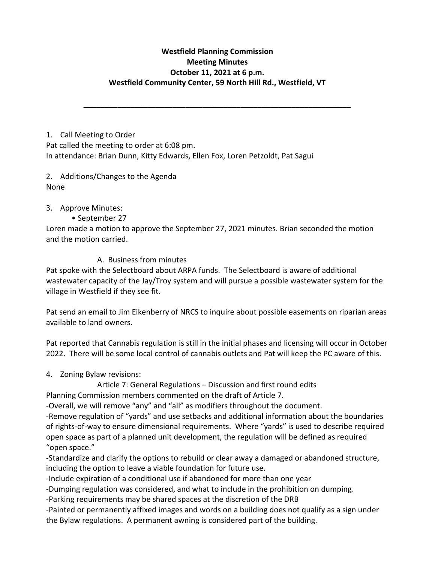## **Westfield Planning Commission Meeting Minutes October 11, 2021 at 6 p.m. Westfield Community Center, 59 North Hill Rd., Westfield, VT**

**\_\_\_\_\_\_\_\_\_\_\_\_\_\_\_\_\_\_\_\_\_\_\_\_\_\_\_\_\_\_\_\_\_\_\_\_\_\_\_\_\_\_\_\_\_\_\_\_\_\_\_\_\_\_\_\_\_\_\_\_\_\_\_**

1. Call Meeting to Order Pat called the meeting to order at 6:08 pm. In attendance: Brian Dunn, Kitty Edwards, Ellen Fox, Loren Petzoldt, Pat Sagui

2. Additions/Changes to the Agenda None

## 3. Approve Minutes:

## • September 27

Loren made a motion to approve the September 27, 2021 minutes. Brian seconded the motion and the motion carried.

## A. Business from minutes

Pat spoke with the Selectboard about ARPA funds. The Selectboard is aware of additional wastewater capacity of the Jay/Troy system and will pursue a possible wastewater system for the village in Westfield if they see fit.

Pat send an email to Jim Eikenberry of NRCS to inquire about possible easements on riparian areas available to land owners.

Pat reported that Cannabis regulation is still in the initial phases and licensing will occur in October 2022. There will be some local control of cannabis outlets and Pat will keep the PC aware of this.

4. Zoning Bylaw revisions:

Article 7: General Regulations – Discussion and first round edits

Planning Commission members commented on the draft of Article 7.

-Overall, we will remove "any" and "all" as modifiers throughout the document.

-Remove regulation of "yards" and use setbacks and additional information about the boundaries of rights-of-way to ensure dimensional requirements. Where "yards" is used to describe required open space as part of a planned unit development, the regulation will be defined as required "open space."

-Standardize and clarify the options to rebuild or clear away a damaged or abandoned structure, including the option to leave a viable foundation for future use.

-Include expiration of a conditional use if abandoned for more than one year

-Dumping regulation was considered, and what to include in the prohibition on dumping.

-Parking requirements may be shared spaces at the discretion of the DRB

-Painted or permanently affixed images and words on a building does not qualify as a sign under the Bylaw regulations. A permanent awning is considered part of the building.